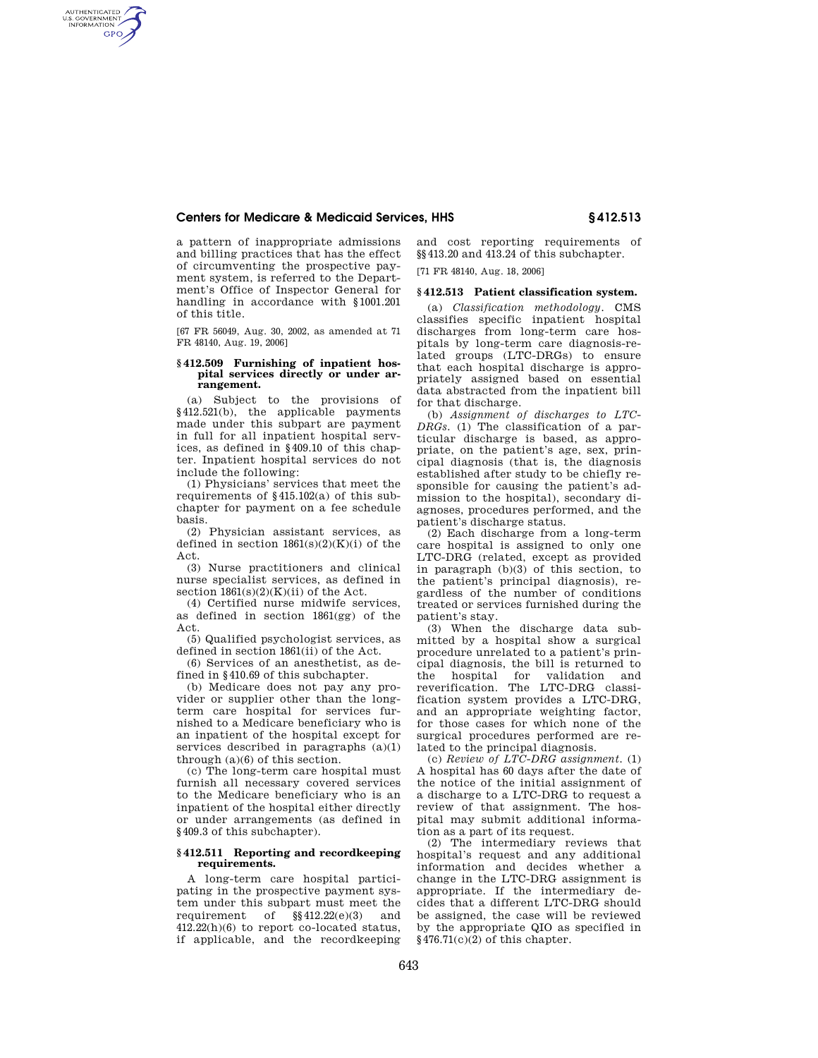## **Centers for Medicare & Medicaid Services, HHS § 412.513**

a pattern of inappropriate admissions and billing practices that has the effect of circumventing the prospective payment system, is referred to the Department's Office of Inspector General for handling in accordance with §1001.201 of this title.

AUTHENTICATED<br>U.S. GOVERNMENT<br>INFORMATION **GPO** 

> [67 FR 56049, Aug. 30, 2002, as amended at 71 FR 48140, Aug. 19, 2006]

### **§ 412.509 Furnishing of inpatient hospital services directly or under arrangement.**

(a) Subject to the provisions of §412.521(b), the applicable payments made under this subpart are payment in full for all inpatient hospital services, as defined in §409.10 of this chapter. Inpatient hospital services do not include the following:

(1) Physicians' services that meet the requirements of §415.102(a) of this subchapter for payment on a fee schedule basis.

(2) Physician assistant services, as defined in section  $1861(s)(2)(K)(i)$  of the Act.

(3) Nurse practitioners and clinical nurse specialist services, as defined in section  $1861(s)(2)(K)(ii)$  of the Act.

(4) Certified nurse midwife services, as defined in section 1861(gg) of the Act.

(5) Qualified psychologist services, as defined in section 1861(ii) of the Act.

(6) Services of an anesthetist, as defined in §410.69 of this subchapter.

(b) Medicare does not pay any provider or supplier other than the longterm care hospital for services furnished to a Medicare beneficiary who is an inpatient of the hospital except for services described in paragraphs  $(a)(1)$ through (a)(6) of this section.

(c) The long-term care hospital must furnish all necessary covered services to the Medicare beneficiary who is an inpatient of the hospital either directly or under arrangements (as defined in §409.3 of this subchapter).

### **§ 412.511 Reporting and recordkeeping requirements.**

A long-term care hospital participating in the prospective payment system under this subpart must meet the requirement of §§412.22(e)(3) and 412.22(h)(6) to report co-located status, if applicable, and the recordkeeping and cost reporting requirements of §§413.20 and 413.24 of this subchapter.

[71 FR 48140, Aug. 18, 2006]

## **§ 412.513 Patient classification system.**

(a) *Classification methodology.* CMS classifies specific inpatient hospital discharges from long-term care hospitals by long-term care diagnosis-related groups (LTC-DRGs) to ensure that each hospital discharge is appropriately assigned based on essential data abstracted from the inpatient bill for that discharge.

(b) *Assignment of discharges to LTC-DRGs.* (1) The classification of a particular discharge is based, as appropriate, on the patient's age, sex, principal diagnosis (that is, the diagnosis established after study to be chiefly responsible for causing the patient's admission to the hospital), secondary diagnoses, procedures performed, and the patient's discharge status.

(2) Each discharge from a long-term care hospital is assigned to only one LTC-DRG (related, except as provided in paragraph (b)(3) of this section, to the patient's principal diagnosis), regardless of the number of conditions treated or services furnished during the patient's stay.

(3) When the discharge data submitted by a hospital show a surgical procedure unrelated to a patient's principal diagnosis, the bill is returned to the hospital for validation and reverification. The LTC-DRG classification system provides a LTC-DRG, and an appropriate weighting factor, for those cases for which none of the surgical procedures performed are related to the principal diagnosis.

(c) *Review of LTC-DRG assignment.* (1) A hospital has 60 days after the date of the notice of the initial assignment of a discharge to a LTC-DRG to request a review of that assignment. The hospital may submit additional information as a part of its request.

(2) The intermediary reviews that hospital's request and any additional information and decides whether a change in the LTC-DRG assignment is appropriate. If the intermediary decides that a different LTC-DRG should be assigned, the case will be reviewed by the appropriate QIO as specified in §476.71(c)(2) of this chapter.